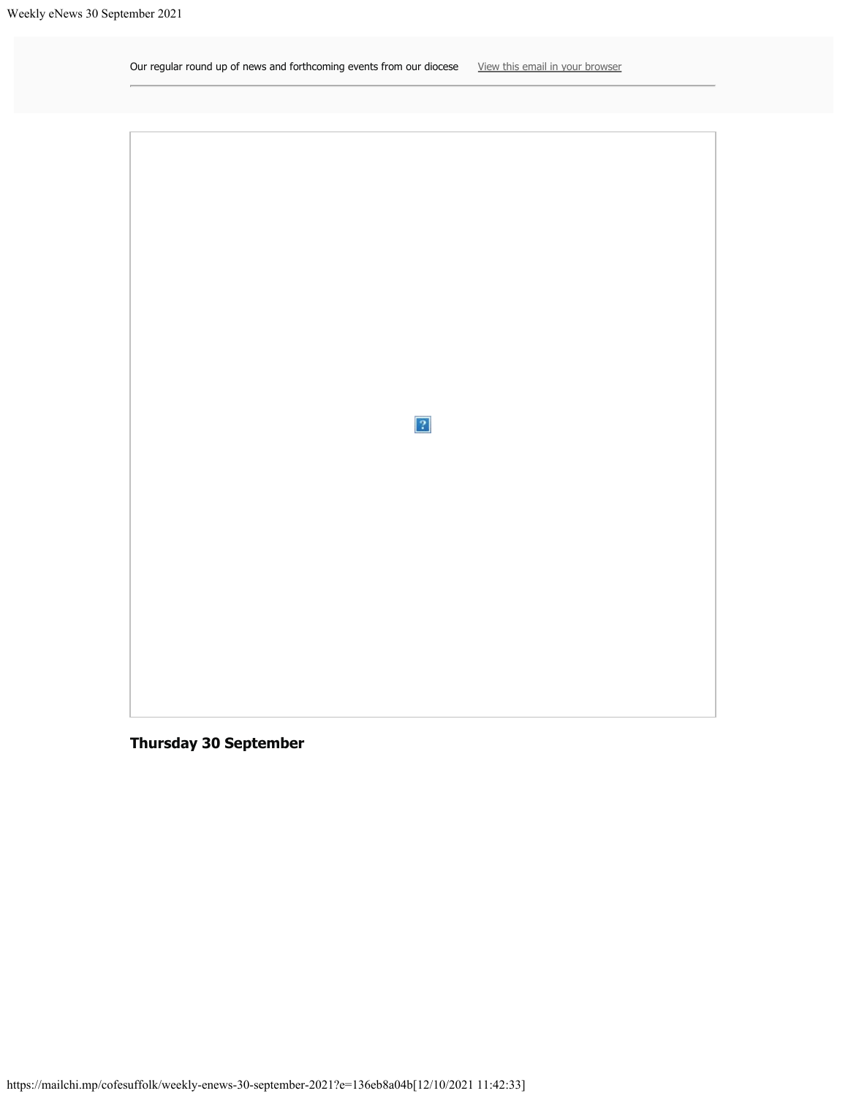<span id="page-0-0"></span>Our regular round up of news and forthcoming events from our diocese [View this email in your browser](#page-0-0)



**Thursday 30 September**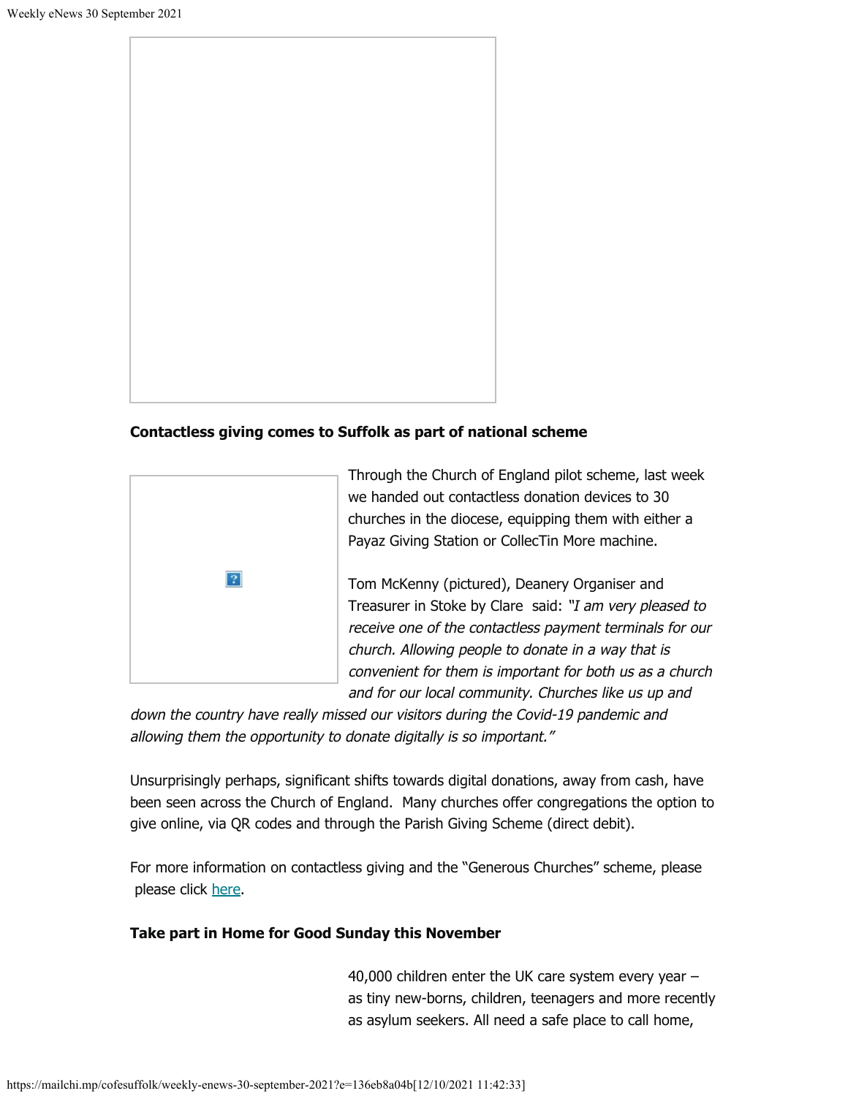

## **Contactless giving comes to Suffolk as part of national scheme**



Through the Church of England pilot scheme, last week we handed out contactless donation devices to 30 churches in the diocese, equipping them with either a Payaz Giving Station or CollecTin More machine.

Tom McKenny (pictured), Deanery Organiser and Treasurer in Stoke by Clare said: "I am very pleased to receive one of the contactless payment terminals for our church. Allowing people to donate in a way that is convenient for them is important for both us as a church and for our local community. Churches like us up and

down the country have really missed our visitors during the Covid-19 pandemic and allowing them the opportunity to donate digitally is so important."

Unsurprisingly perhaps, significant shifts towards digital donations, away from cash, have been seen across the Church of England. Many churches offer congregations the option to give online, via QR codes and through the Parish Giving Scheme (direct debit).

For more information on contactless giving and the "Generous Churches" scheme, please please click [here](https://www.cofesuffolk.org/news/contactless-giving-comes-to-suffolk-churches-as-part-of-national-scheme.php).

# **Take part in Home for Good Sunday this November**

40,000 children enter the UK care system every year – as tiny new-borns, children, teenagers and more recently as asylum seekers. All need a safe place to call home,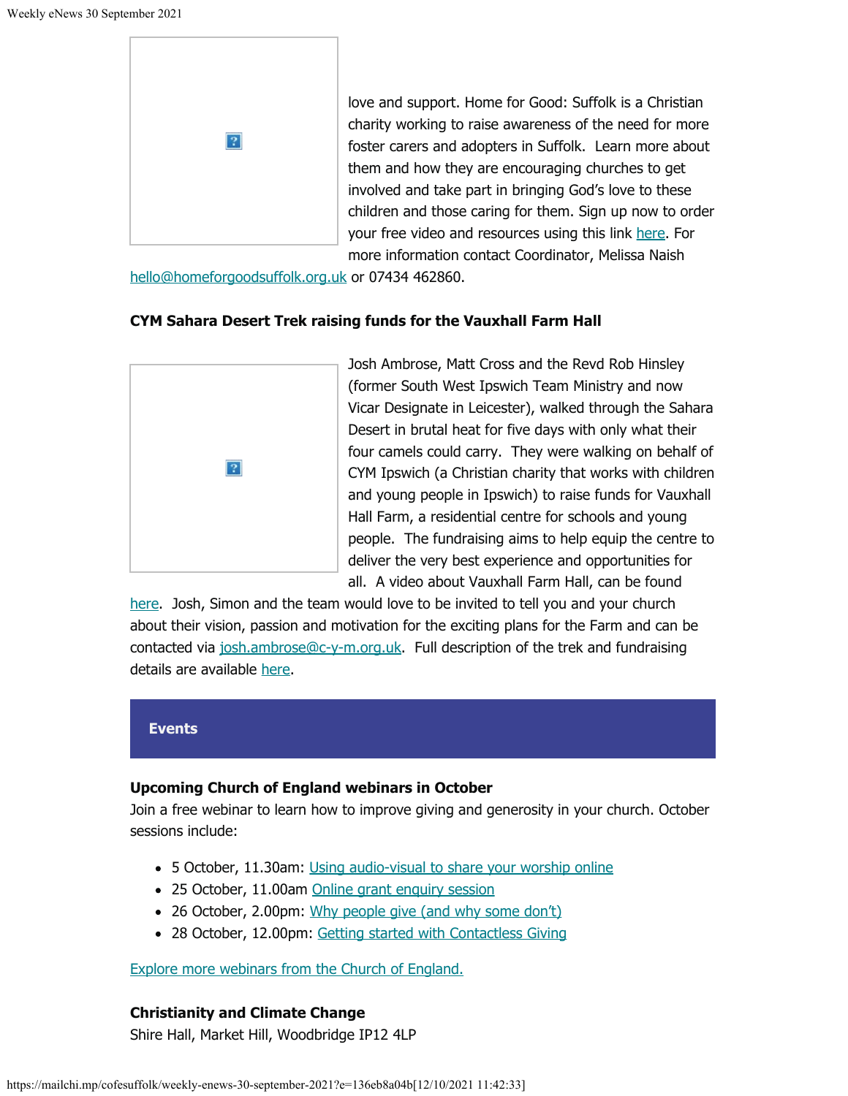

love and support. Home for Good: Suffolk is a Christian charity working to raise awareness of the need for more foster carers and adopters in Suffolk. Learn more about them and how they are encouraging churches to get involved and take part in bringing God's love to these children and those caring for them. Sign up now to order your free video and resources using this link [here](https://forms.office.com/r/ZsJ3nKT2u0). For more information contact Coordinator, Melissa Naish

[hello@homeforgoodsuffolk.org.uk](mailto:hello@homeforgoodsuffolk.org.uk) or 07434 462860.

## **CYM Sahara Desert Trek raising funds for the Vauxhall Farm Hall**



Josh Ambrose, Matt Cross and the Revd Rob Hinsley (former South West Ipswich Team Ministry and now Vicar Designate in Leicester), walked through the Sahara Desert in brutal heat for five days with only what their four camels could carry. They were walking on behalf of CYM Ipswich (a Christian charity that works with children and young people in Ipswich) to raise funds for Vauxhall Hall Farm, a residential centre for schools and young people. The fundraising aims to help equip the centre to deliver the very best experience and opportunities for all. A video about Vauxhall Farm Hall, can be found

[here](https://www.c-y-m.org.uk/childrens-residential). Josh, Simon and the team would love to be invited to tell you and your church about their vision, passion and motivation for the exciting plans for the Farm and can be contacted via [josh.ambrose@c-y-m.org.uk.](mailto:josh.ambrose@c-y-m.org.uk) Full description of the trek and fundraising details are available [here](https://mcusercontent.com/c52dd45d5732d5bd4c5aa7748/files/89b3cc74-7192-247c-bfe9-66878809358b/e_news_Sahara.pdf).

#### **Events**

## **Upcoming Church of England webinars in October**

Join a free webinar to learn how to improve giving and generosity in your church. October sessions include:

- 5 October, 11.30am: [Using audio-visual to share your worship online](https://eur02.safelinks.protection.outlook.com/?url=https%3A%2F%2Fparishbuying.us1.list-manage.com%2Ftrack%2Fclick%3Fu%3Df462c63ccbb6f06672cc1f6e0%26id%3De97eb6142e%26e%3D9ac3edd6f7&data=04%7C01%7CLeonie.Ryle%40cofesuffolk.org%7Cc89c2c62f6f24431d95408d983e966d2%7C64990a9c67994442988fcb8b9e9dbb7f%7C0%7C0%7C637685860742108516%7CUnknown%7CTWFpbGZsb3d8eyJWIjoiMC4wLjAwMDAiLCJQIjoiV2luMzIiLCJBTiI6Ik1haWwiLCJXVCI6Mn0%3D%7C1000&sdata=2pXA1rRvw5ZoY0zaHE9FozDx7moj6IYEbUQQnzVIMLk%3D&reserved=0)
- 25 October, 11.00am [Online grant enquiry session](https://www.eventbrite.co.uk/e/grant-enquiry-session-tickets-160191070805?utm_source=eNews&utm_campaign=1f08f1d3d8-eNews-17-09-2021&utm_medium=email&utm_term=0_cd70a841d3-1f08f1d3d8-301778505&mc_cid=1f08f1d3d8&mc_eid=0aa6c02998)
- 26 October, 2.00pm: [Why people give \(and why some don't\)](https://eur02.safelinks.protection.outlook.com/?url=https%3A%2F%2Fparishbuying.us1.list-manage.com%2Ftrack%2Fclick%3Fu%3Df462c63ccbb6f06672cc1f6e0%26id%3Dd8d3a14bfd%26e%3D9ac3edd6f7&data=04%7C01%7CLeonie.Ryle%40cofesuffolk.org%7Cc89c2c62f6f24431d95408d983e966d2%7C64990a9c67994442988fcb8b9e9dbb7f%7C0%7C0%7C637685860742118513%7CUnknown%7CTWFpbGZsb3d8eyJWIjoiMC4wLjAwMDAiLCJQIjoiV2luMzIiLCJBTiI6Ik1haWwiLCJXVCI6Mn0%3D%7C1000&sdata=C7n4Q%2Bvd%2BZPKsUkdDGwM%2B0lFi%2BVf%2ByTJDZmvA4f%2FQO8%3D&reserved=0)
- 28 October, 12.00pm: [Getting started with Contactless Giving](https://eur02.safelinks.protection.outlook.com/?url=https%3A%2F%2Fparishbuying.us1.list-manage.com%2Ftrack%2Fclick%3Fu%3Df462c63ccbb6f06672cc1f6e0%26id%3D6bdbc8c2db%26e%3D9ac3edd6f7&data=04%7C01%7CLeonie.Ryle%40cofesuffolk.org%7Cc89c2c62f6f24431d95408d983e966d2%7C64990a9c67994442988fcb8b9e9dbb7f%7C0%7C0%7C637685860742128511%7CUnknown%7CTWFpbGZsb3d8eyJWIjoiMC4wLjAwMDAiLCJQIjoiV2luMzIiLCJBTiI6Ik1haWwiLCJXVCI6Mn0%3D%7C1000&sdata=G%2BSv4L5GJAY%2B0jNlQaRI1lZO8QpBwN89YS8tinWlQns%3D&reserved=0)

[Explore more webinars from the Church of England.](https://eur02.safelinks.protection.outlook.com/?url=https%3A%2F%2Fparishbuying.us1.list-manage.com%2Ftrack%2Fclick%3Fu%3Df462c63ccbb6f06672cc1f6e0%26id%3D1662c7ac05%26e%3D9ac3edd6f7&data=04%7C01%7CLeonie.Ryle%40cofesuffolk.org%7Cc89c2c62f6f24431d95408d983e966d2%7C64990a9c67994442988fcb8b9e9dbb7f%7C0%7C0%7C637685860742128511%7CUnknown%7CTWFpbGZsb3d8eyJWIjoiMC4wLjAwMDAiLCJQIjoiV2luMzIiLCJBTiI6Ik1haWwiLCJXVCI6Mn0%3D%7C1000&sdata=7R%2BiDkqUdApyEo6JfiZWp3vZlZMWg7NmIkrSc%2Fewh7E%3D&reserved=0)

# **Christianity and Climate Change**

Shire Hall, Market Hill, Woodbridge IP12 4LP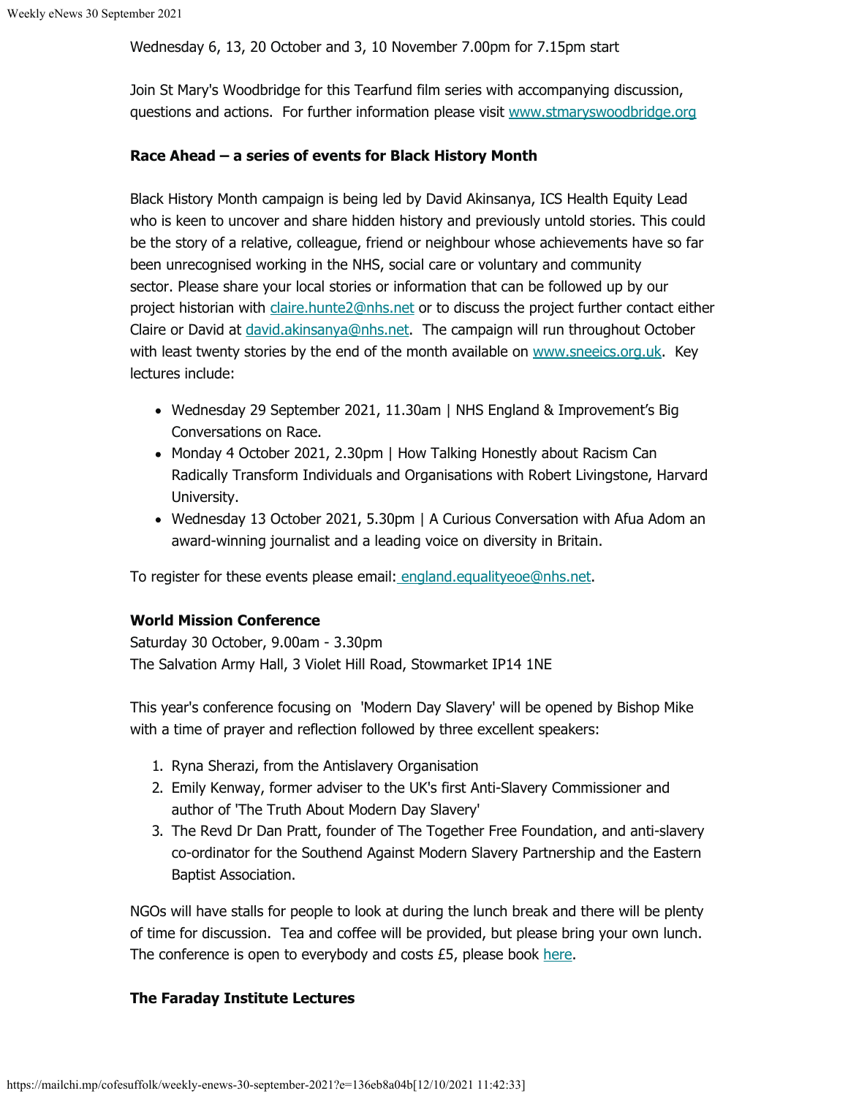Wednesday 6, 13, 20 October and 3, 10 November 7.00pm for 7.15pm start

Join St Mary's Woodbridge for this Tearfund film series with accompanying discussion, questions and actions. For further information please visit [www.stmaryswoodbridge.org](http://www.stmaryswoodbridge.org/)

### **Race Ahead – a series of events for Black History Month**

Black History Month campaign is being led by David Akinsanya, ICS Health Equity Lead who is keen to uncover and share hidden history and previously untold stories. This could be the story of a relative, colleague, friend or neighbour whose achievements have so far been unrecognised working in the NHS, social care or voluntary and community sector. Please share your local stories or information that can be followed up by our project historian with [claire.hunte2@nhs.net](mailto:claire.hunte2@nhs.net) or to discuss the project further contact either Claire or David at [david.akinsanya@nhs.net](mailto:david.akinsanya@nhs.net). The campaign will run throughout October with least twenty stories by the end of the month available on [www.sneeics.org.uk](https://eur02.safelinks.protection.outlook.com/?url=http%3A%2F%2Fwww.sneeics.org.uk%2F&data=04%7C01%7CLeonie.Ryle%40cofesuffolk.org%7C4b39521ab827434512b608d981ea9062%7C64990a9c67994442988fcb8b9e9dbb7f%7C0%7C0%7C637683666713291547%7CUnknown%7CTWFpbGZsb3d8eyJWIjoiMC4wLjAwMDAiLCJQIjoiV2luMzIiLCJBTiI6Ik1haWwiLCJXVCI6Mn0%3D%7C1000&sdata=IG1vnQsB9jNW6te6U681stkPwAHzPEPbHMx%2FRk4bY5E%3D&reserved=0). Key lectures include:

- Wednesday 29 September 2021, 11.30am | NHS England & Improvement's Big Conversations on Race.
- Monday 4 October 2021, 2.30pm | How Talking Honestly about Racism Can Radically Transform Individuals and Organisations with Robert Livingstone, Harvard University.
- Wednesday 13 October 2021, 5.30pm | A Curious Conversation with Afua Adom an award-winning journalist and a leading voice on diversity in Britain.

To register for these events please email[: england.equalityeoe@nhs.net](mailto:england.equalityeoe@nhs.net).

## **World Mission Conference**

Saturday 30 October, 9.00am - 3.30pm The Salvation Army Hall, 3 Violet Hill Road, Stowmarket IP14 1NE

This year's conference focusing on 'Modern Day Slavery' will be opened by Bishop Mike with a time of prayer and reflection followed by three excellent speakers:

- 1. Ryna Sherazi, from the Antislavery Organisation
- 2. Emily Kenway, former adviser to the UK's first Anti-Slavery Commissioner and author of 'The Truth About Modern Day Slavery'
- 3. The Revd Dr Dan Pratt, founder of The Together Free Foundation, and anti-slavery co-ordinator for the Southend Against Modern Slavery Partnership and the Eastern Baptist Association.

NGOs will have stalls for people to look at during the lunch break and there will be plenty of time for discussion. Tea and coffee will be provided, but please bring your own lunch. The conference is open to everybody and costs  $£5$ , please book [here](https://eur02.safelinks.protection.outlook.com/?url=https%3A%2F%2Fcofesuffolk.us2.list-manage.com%2Ftrack%2Fclick%3Fu%3Dc52dd45d5732d5bd4c5aa7748%26id%3D958f7814b3%26e%3De6a59b42b2&data=04%7C01%7Cleonie.ryle%40cofesuffolk.org%7C52e877def8ed433c9ad108d973b1d908%7C64990a9c67994442988fcb8b9e9dbb7f%7C0%7C1%7C637668029956421813%7CUnknown%7CTWFpbGZsb3d8eyJWIjoiMC4wLjAwMDAiLCJQIjoiV2luMzIiLCJBTiI6Ik1haWwiLCJXVCI6Mn0%3D%7C1000&sdata=w1so8HAahDJlwTLI3B5Db6qplQRpzLNm8AKeUBsaP6Q%3D&reserved=0).

## **The Faraday Institute Lectures**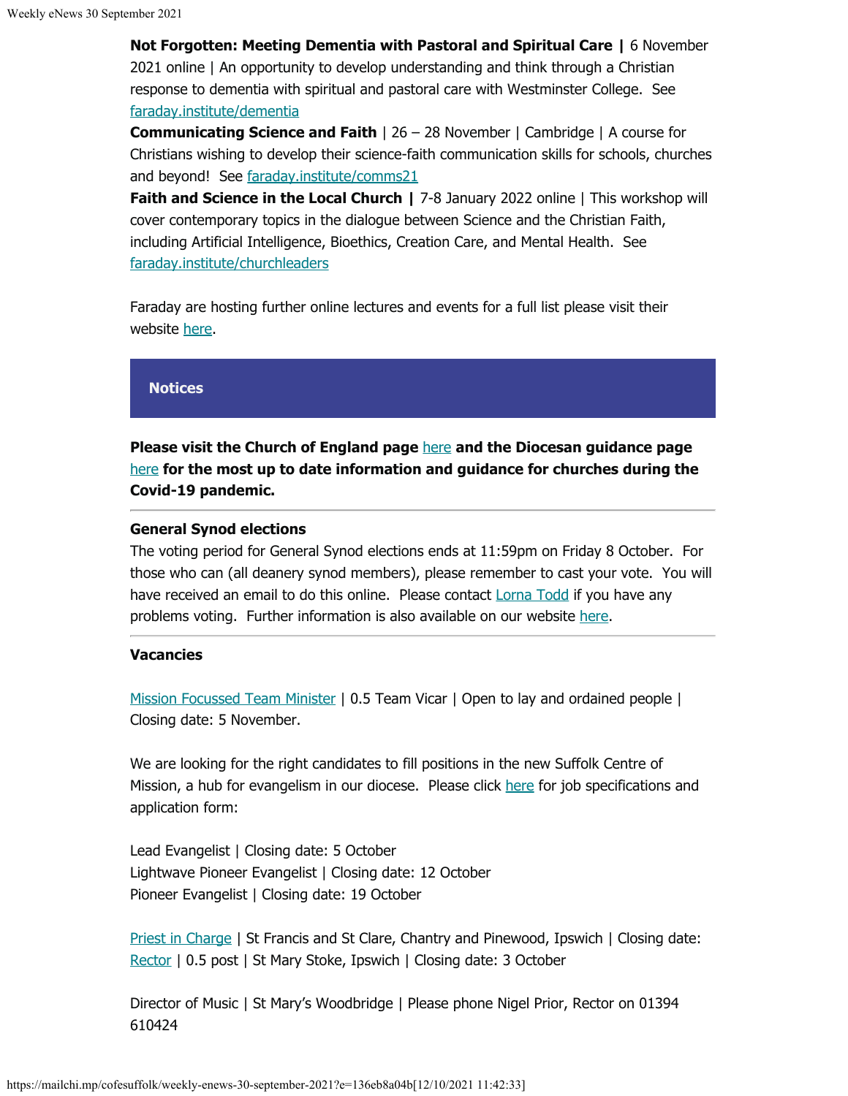**Not Forgotten: Meeting Dementia with Pastoral and Spiritual Care |** 6 November 2021 online | An opportunity to develop understanding and think through a Christian response to dementia with spiritual and pastoral care with Westminster College. See [faraday.institute/dementia](http://faraday.institute/dementia)

**Communicating Science and Faith** | 26 – 28 November | Cambridge | A course for Christians wishing to develop their science-faith communication skills for schools, churches and beyond! See [faraday.institute/comms21](https://eur02.safelinks.protection.outlook.com/?url=https%3A%2F%2Ffaraday.institute%2Fcomms21&data=04%7C01%7CLeonie.Ryle%40cofesuffolk.org%7Cf8e1bcdda49d4984da4108d982a3bb69%7C64990a9c67994442988fcb8b9e9dbb7f%7C0%7C0%7C637684461992910526%7CUnknown%7CTWFpbGZsb3d8eyJWIjoiMC4wLjAwMDAiLCJQIjoiV2luMzIiLCJBTiI6Ik1haWwiLCJXVCI6Mn0%3D%7C1000&sdata=41X8z6Af37RiT09n2T%2FMjRZH40Scbg7Rk24MKt8FDDE%3D&reserved=0)

**Faith and Science in the Local Church | 7-8 January 2022 online | This workshop will** cover contemporary topics in the dialogue between Science and the Christian Faith, including Artificial Intelligence, Bioethics, Creation Care, and Mental Health. See [faraday.institute/churchleaders](http://faraday.institute/churchleaders)

Faraday are hosting further online lectures and events for a full list please visit their website [here](https://www.faraday.cam.ac.uk/events/overview/).

#### **Notices**

**Please visit the Church of England page** [here](https://www.churchofengland.org/resources/coronavirus-covid-19-guidance) **and the Diocesan guidance page** [here](https://www.cofesuffolk.org/for-parishes/parish-administration/guidance-for-parishes-during-the-coronavirus-pandemic/) **for the most up to date information and guidance for churches during the Covid-19 pandemic.**

#### **General Synod elections**

The voting period for General Synod elections ends at 11:59pm on Friday 8 October. For those who can (all deanery synod members), please remember to cast your vote. You will have received an email to do this online. Please contact **Lorna Todd if you have any** problems voting. Further information is also available on our website [here](https://eur02.safelinks.protection.outlook.com/?url=https%3A%2F%2Fcofesuffolk.us2.list-manage.com%2Ftrack%2Fclick%3Fu%3Dc52dd45d5732d5bd4c5aa7748%26id%3Dc072df7caf%26e%3De6a59b42b2&data=04%7C01%7Cleonie.ryle%40cofesuffolk.org%7C9fe2310b7e7b46daa32b08d968b41061%7C64990a9c67994442988fcb8b9e9dbb7f%7C0%7C1%7C637655944853732952%7CUnknown%7CTWFpbGZsb3d8eyJWIjoiMC4wLjAwMDAiLCJQIjoiV2luMzIiLCJBTiI6Ik1haWwiLCJXVCI6Mn0%3D%7C1000&sdata=7gGXXDq5FRHAdhyGoaiwNrdSrm8dvAMFBxB3Q%2FQGrAg%3D&reserved=0).

#### **Vacancies**

[Mission Focussed Team Minister](https://www.cofesuffolk.org/about-us/vacancies/mission-focussed-team-vicar-05-wilford-team-ministry.php) | 0.5 Team Vicar | Open to lay and ordained people | Closing date: 5 November.

We are looking for the right candidates to fill positions in the new Suffolk Centre of Mission, a hub for evangelism in our diocese. Please click [here](https://www.cofesuffolk.org/about-us/vacancies/lead-evangelist-lightwave-pioneer-evangelist-pioneer-evangelist-at-the-centre-of-mission.php) for job specifications and application form:

Lead Evangelist | Closing date: 5 October Lightwave Pioneer Evangelist | Closing date: 12 October Pioneer Evangelist | Closing date: 19 October

[Priest in Charge](https://eur02.safelinks.protection.outlook.com/?url=https%3A%2F%2Fcofesuffolk.us2.list-manage.com%2Ftrack%2Fclick%3Fu%3Dc52dd45d5732d5bd4c5aa7748%26id%3Dafd4cad858%26e%3De6a59b42b2&data=04%7C01%7Cleonie.ryle%40cofesuffolk.org%7Ca508bd7a64134fadbafe08d97eb48d12%7C64990a9c67994442988fcb8b9e9dbb7f%7C0%7C1%7C637680136199145656%7CUnknown%7CTWFpbGZsb3d8eyJWIjoiMC4wLjAwMDAiLCJQIjoiV2luMzIiLCJBTiI6Ik1haWwiLCJXVCI6Mn0%3D%7C3000&sdata=4gjOmttlEWsTQhxdv%2BuxJXyPIzAocm3Uzg0F4FEknR0%3D&reserved=0) | St Francis and St Clare, Chantry and Pinewood, Ipswich | Closing date: [Rector](https://eur02.safelinks.protection.outlook.com/?url=https%3A%2F%2Fcofesuffolk.us2.list-manage.com%2Ftrack%2Fclick%3Fu%3Dc52dd45d5732d5bd4c5aa7748%26id%3Da33a1279cc%26e%3De6a59b42b2&data=04%7C01%7Cleonie.ryle%40cofesuffolk.org%7Ca508bd7a64134fadbafe08d97eb48d12%7C64990a9c67994442988fcb8b9e9dbb7f%7C0%7C1%7C637680136199155611%7CUnknown%7CTWFpbGZsb3d8eyJWIjoiMC4wLjAwMDAiLCJQIjoiV2luMzIiLCJBTiI6Ik1haWwiLCJXVCI6Mn0%3D%7C3000&sdata=XsMJ%2Bg5%2FLHGBtYD7ZJDBCSqYcisOcZufvuKHzUbo5O4%3D&reserved=0) | 0.5 post | St Mary Stoke, Ipswich | Closing date: 3 October

Director of Music | St Mary's Woodbridge | Please phone Nigel Prior, Rector on 01394 610424